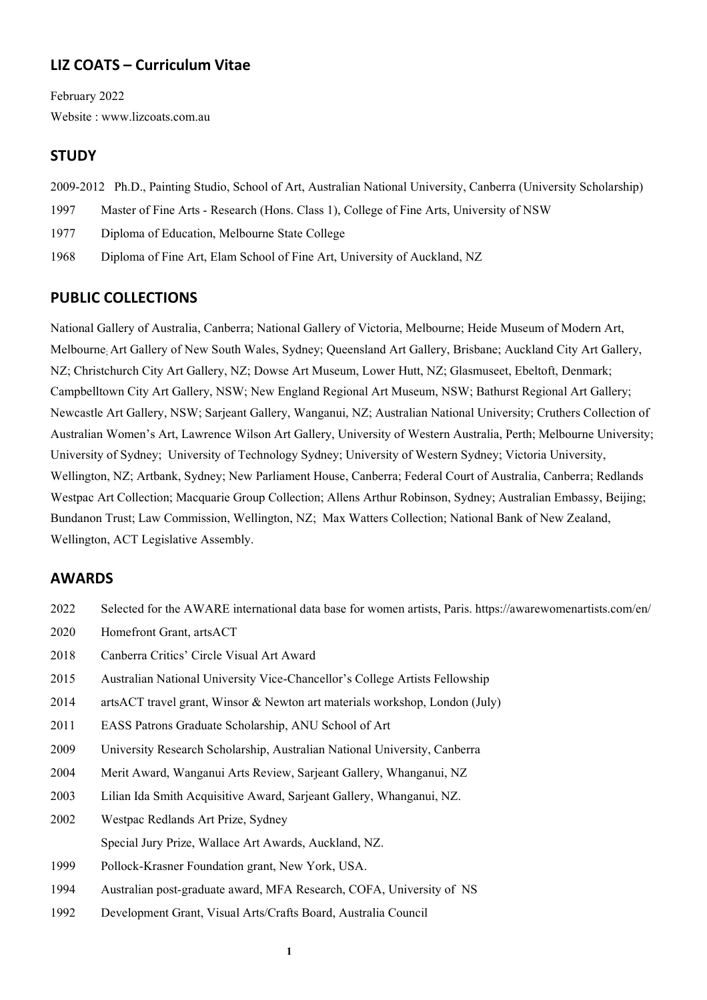# **LIZ COATS – Curriculum Vitae**

February 2022 Website : www.lizcoats.com.au

# **STUDY**

- 2009-2012 Ph.D., Painting Studio, School of Art, Australian National University, Canberra (University Scholarship)
- 1997 Master of Fine Arts Research (Hons. Class 1), College of Fine Arts, University of NSW
- 1977 Diploma of Education, Melbourne State College
- 1968 Diploma of Fine Art, Elam School of Fine Art, University of Auckland, NZ

# **PUBLIC COLLECTIONS**

National Gallery of Australia, Canberra; National Gallery of Victoria, Melbourne; Heide Museum of Modern Art, Melbourne; Art Gallery of New South Wales, Sydney; Queensland Art Gallery, Brisbane; Auckland City Art Gallery, NZ; Christchurch City Art Gallery, NZ; Dowse Art Museum, Lower Hutt, NZ; Glasmuseet, Ebeltoft, Denmark; Campbelltown City Art Gallery, NSW; New England Regional Art Museum, NSW; Bathurst Regional Art Gallery; Newcastle Art Gallery, NSW; Sarjeant Gallery, Wanganui, NZ; Australian National University; Cruthers Collection of Australian Women's Art, Lawrence Wilson Art Gallery, University of Western Australia, Perth; Melbourne University; University of Sydney; University of Technology Sydney; University of Western Sydney; Victoria University, Wellington, NZ; Artbank, Sydney; New Parliament House, Canberra; Federal Court of Australia, Canberra; Redlands Westpac Art Collection; Macquarie Group Collection; Allens Arthur Robinson, Sydney; Australian Embassy, Beijing; Bundanon Trust; Law Commission, Wellington, NZ; Max Watters Collection; National Bank of New Zealand, Wellington, ACT Legislative Assembly.

# **AWARDS**

- 2022 Selected for the AWARE international data base for women artists, Paris. https://awarewomenartists.com/en/
- 2020 Homefront Grant, artsACT
- 2018 Canberra Critics' Circle Visual Art Award
- 2015 Australian National University Vice-Chancellor's College Artists Fellowship
- 2014 artsACT travel grant, Winsor & Newton art materials workshop, London (July)
- 2011 EASS Patrons Graduate Scholarship, ANU School of Art
- 2009 University Research Scholarship, Australian National University, Canberra
- 2004 Merit Award, Wanganui Arts Review, Sarjeant Gallery, Whanganui, NZ
- 2003 Lilian Ida Smith Acquisitive Award, Sarjeant Gallery, Whanganui, NZ.
- 2002 Westpac Redlands Art Prize, Sydney Special Jury Prize, Wallace Art Awards, Auckland, NZ.
- 1999 Pollock-Krasner Foundation grant, New York, USA.
- 1994 Australian post-graduate award, MFA Research, COFA, University of NS
- 1992 Development Grant, Visual Arts/Crafts Board, Australia Council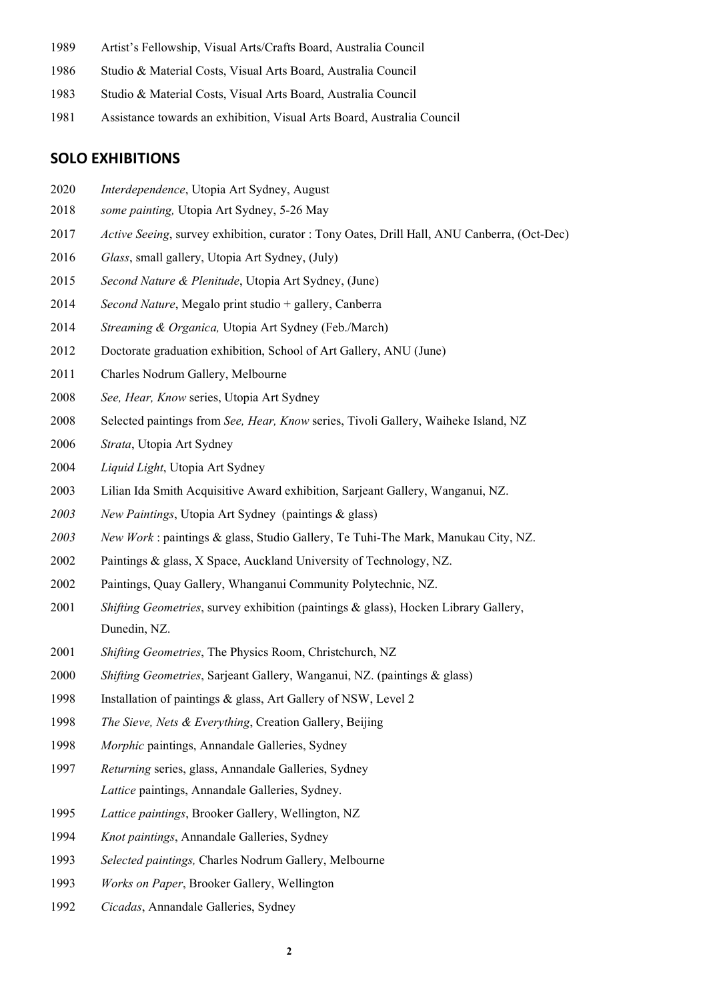- Artist's Fellowship, Visual Arts/Crafts Board, Australia Council
- Studio & Material Costs, Visual Arts Board, Australia Council
- Studio & Material Costs, Visual Arts Board, Australia Council
- Assistance towards an exhibition, Visual Arts Board, Australia Council

### **SOLO EXHIBITIONS**

- *Interdependence*, Utopia Art Sydney, August
- *some painting,* Utopia Art Sydney, 5-26 May
- *Active Seeing*, survey exhibition, curator : Tony Oates, Drill Hall, ANU Canberra, (Oct-Dec)
- *Glass*, small gallery, Utopia Art Sydney, (July)
- *Second Nature & Plenitude*, Utopia Art Sydney, (June)
- *Second Nature*, Megalo print studio + gallery, Canberra
- *Streaming & Organica,* Utopia Art Sydney (Feb./March)
- 2012 Doctorate graduation exhibition, School of Art Gallery, ANU (June)
- Charles Nodrum Gallery, Melbourne
- *See, Hear, Know* series, Utopia Art Sydney
- Selected paintings from *See, Hear, Know* series, Tivoli Gallery, Waiheke Island, NZ
- *Strata*, Utopia Art Sydney
- *Liquid Light*, Utopia Art Sydney
- Lilian Ida Smith Acquisitive Award exhibition, Sarjeant Gallery, Wanganui, NZ.
- *New Paintings*, Utopia Art Sydney (paintings & glass)
- *New Work* : paintings & glass, Studio Gallery, Te Tuhi-The Mark, Manukau City, NZ.
- Paintings & glass, X Space, Auckland University of Technology, NZ.
- 2002 Paintings, Quay Gallery, Whanganui Community Polytechnic, NZ.
- *Shifting Geometries*, survey exhibition (paintings & glass), Hocken Library Gallery, Dunedin, NZ.
- *Shifting Geometries*, The Physics Room, Christchurch, NZ
- *Shifting Geometries*, Sarjeant Gallery, Wanganui, NZ. (paintings & glass)
- Installation of paintings & glass, Art Gallery of NSW, Level 2
- *The Sieve, Nets & Everything*, Creation Gallery, Beijing
- *Morphic* paintings, Annandale Galleries, Sydney
- *Returning* series, glass, Annandale Galleries, Sydney *Lattice* paintings, Annandale Galleries, Sydney.
- *Lattice paintings*, Brooker Gallery, Wellington, NZ
- *Knot paintings*, Annandale Galleries, Sydney
- *Selected paintings,* Charles Nodrum Gallery, Melbourne
- *Works on Paper*, Brooker Gallery, Wellington
- *Cicadas*, Annandale Galleries, Sydney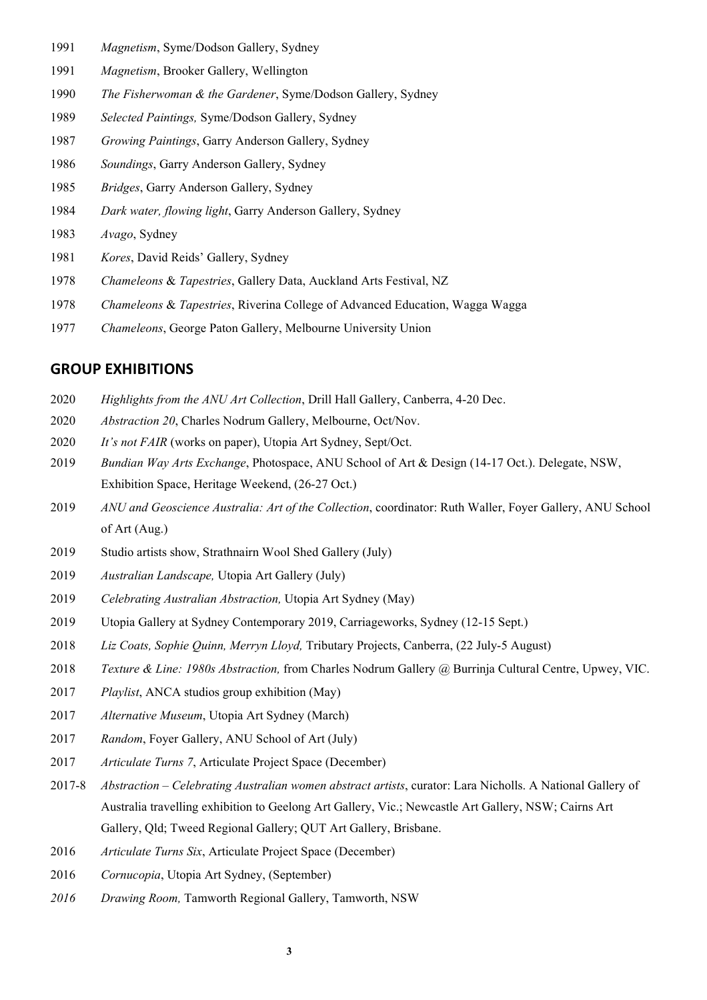- *Magnetism*, Syme/Dodson Gallery, Sydney
- *Magnetism*, Brooker Gallery, Wellington
- *The Fisherwoman & the Gardener*, Syme/Dodson Gallery, Sydney
- *Selected Paintings,* Syme/Dodson Gallery, Sydney
- *Growing Paintings*, Garry Anderson Gallery, Sydney
- *Soundings*, Garry Anderson Gallery, Sydney
- *Bridges*, Garry Anderson Gallery, Sydney
- *Dark water, flowing light*, Garry Anderson Gallery, Sydney
- *Avago*, Sydney
- *Kores*, David Reids' Gallery, Sydney
- *Chameleons* & *Tapestries*, Gallery Data, Auckland Arts Festival, NZ
- *Chameleons* & *Tapestries*, Riverina College of Advanced Education, Wagga Wagga
- *Chameleons*, George Paton Gallery, Melbourne University Union

#### **GROUP EXHIBITIONS**

- *Highlights from the ANU Art Collection*, Drill Hall Gallery, Canberra, 4-20 Dec.
- *Abstraction 20*, Charles Nodrum Gallery, Melbourne, Oct/Nov.
- *It's not FAIR* (works on paper), Utopia Art Sydney, Sept/Oct.
- *Bundian Way Arts Exchange*, Photospace, ANU School of Art & Design (14-17 Oct.). Delegate, NSW, Exhibition Space, Heritage Weekend, (26-27 Oct.)
- *ANU and Geoscience Australia: Art of the Collection*, coordinator: Ruth Waller, Foyer Gallery, ANU School of Art (Aug.)
- Studio artists show, Strathnairn Wool Shed Gallery (July)
- *Australian Landscape,* Utopia Art Gallery (July)
- *Celebrating Australian Abstraction,* Utopia Art Sydney (May)
- Utopia Gallery at Sydney Contemporary 2019, Carriageworks, Sydney (12-15 Sept.)
- *Liz Coats, Sophie Quinn, Merryn Lloyd,* Tributary Projects, Canberra, (22 July-5 August)
- *Texture & Line: 1980s Abstraction,* from Charles Nodrum Gallery @ Burrinja Cultural Centre, Upwey, VIC.
- *Playlist*, ANCA studios group exhibition (May)
- *Alternative Museum*, Utopia Art Sydney (March)
- *Random*, Foyer Gallery, ANU School of Art (July)
- *Articulate Turns 7*, Articulate Project Space (December)
- 2017-8 *Abstraction – Celebrating Australian women abstract artists*, curator: Lara Nicholls. A National Gallery of Australia travelling exhibition to Geelong Art Gallery, Vic.; Newcastle Art Gallery, NSW; Cairns Art Gallery, Qld; Tweed Regional Gallery; QUT Art Gallery, Brisbane.
- *Articulate Turns Six*, Articulate Project Space (December)
- *Cornucopia*, Utopia Art Sydney, (September)
- *Drawing Room,* Tamworth Regional Gallery, Tamworth, NSW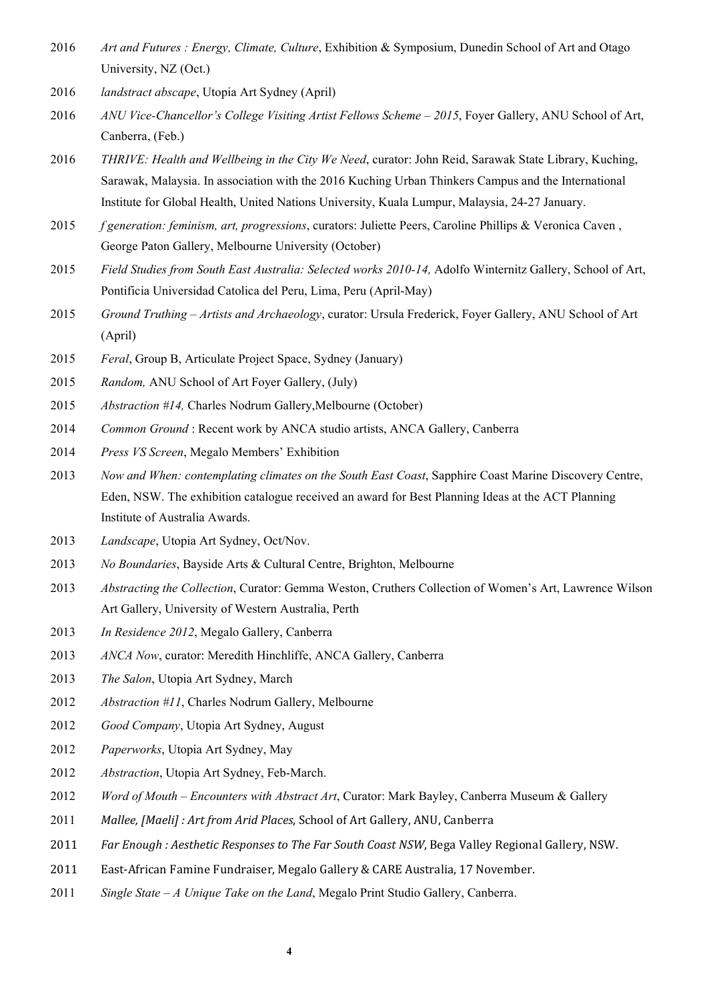- *Art and Futures : Energy, Climate, Culture*, Exhibition & Symposium, Dunedin School of Art and Otago University, NZ (Oct.)
- *landstract abscape*, Utopia Art Sydney (April)
- *ANU Vice-Chancellor's College Visiting Artist Fellows Scheme – 2015*, Foyer Gallery, ANU School of Art, Canberra, (Feb.)
- *THRIVE: Health and Wellbeing in the City We Need*, curator: John Reid, Sarawak State Library, Kuching, Sarawak, Malaysia. In association with the 2016 Kuching Urban Thinkers Campus and the International Institute for Global Health, United Nations University, Kuala Lumpur, Malaysia, 24-27 January.
- *f generation: feminism, art, progressions*, curators: Juliette Peers, Caroline Phillips & Veronica Caven , George Paton Gallery, Melbourne University (October)
- *Field Studies from South East Australia: Selected works 2010-14,* Adolfo Winternitz Gallery, School of Art, Pontificia Universidad Catolica del Peru, Lima, Peru (April-May)
- *Ground Truthing – Artists and Archaeology*, curator: Ursula Frederick, Foyer Gallery, ANU School of Art (April)
- *Feral*, Group B, Articulate Project Space, Sydney (January)
- *Random,* ANU School of Art Foyer Gallery, (July)
- *Abstraction #14,* Charles Nodrum Gallery,Melbourne (October)
- *Common Ground* : Recent work by ANCA studio artists, ANCA Gallery, Canberra
- *Press VS Screen*, Megalo Members' Exhibition
- *Now and When: contemplating climates on the South East Coast*, Sapphire Coast Marine Discovery Centre, Eden, NSW. The exhibition catalogue received an award for Best Planning Ideas at the ACT Planning Institute of Australia Awards.
- *Landscape*, Utopia Art Sydney, Oct/Nov.
- *No Boundaries*, Bayside Arts & Cultural Centre, Brighton, Melbourne
- *Abstracting the Collection*, Curator: Gemma Weston, Cruthers Collection of Women's Art, Lawrence Wilson Art Gallery, University of Western Australia, Perth
- *In Residence 2012*, Megalo Gallery, Canberra
- *ANCA Now*, curator: Meredith Hinchliffe, ANCA Gallery, Canberra
- *The Salon*, Utopia Art Sydney, March
- *Abstraction #11*, Charles Nodrum Gallery, Melbourne
- *Good Company*, Utopia Art Sydney, August
- *Paperworks*, Utopia Art Sydney, May
- *Abstraction*, Utopia Art Sydney, Feb-March.
- *Word of Mouth – Encounters with Abstract Art*, Curator: Mark Bayley, Canberra Museum & Gallery
- 2011 Mallee, [Maeli] : Art from Arid Places, School of Art Gallery, ANU, Canberra
- *Far Enough : Aesthetic Responses to The Far South Coast NSW*, Bega Valley Regional Gallery, NSW.
- 2011 East-African Famine Fundraiser, Megalo Gallery & CARE Australia, 17 November.
- *Single State – A Unique Take on the Land*, Megalo Print Studio Gallery, Canberra.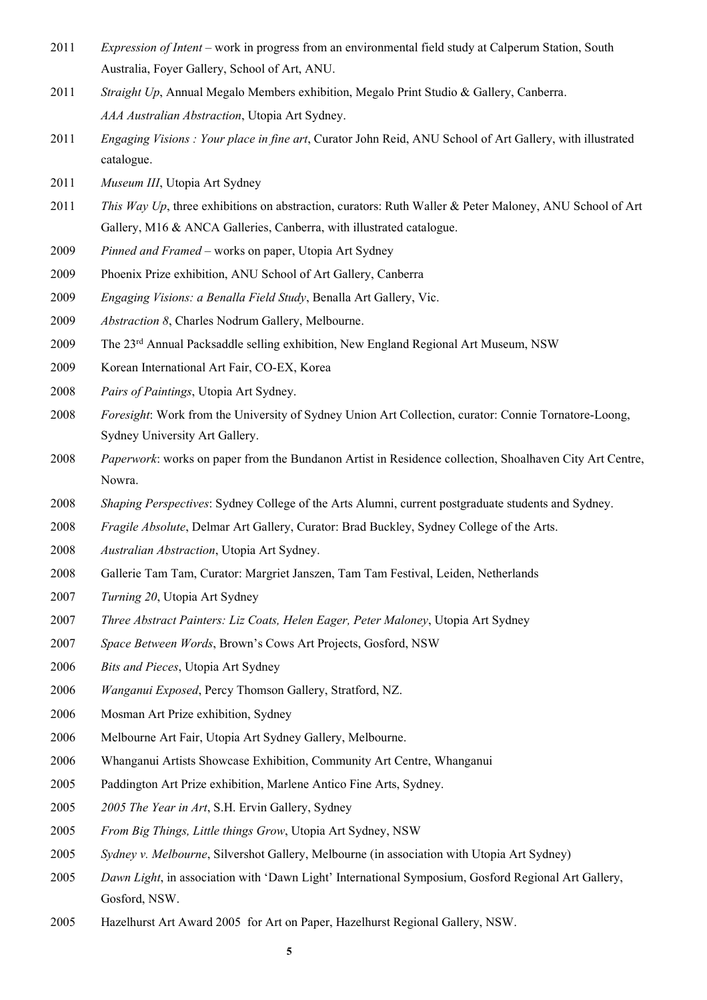- *Expression of Intent* work in progress from an environmental field study at Calperum Station, South Australia, Foyer Gallery, School of Art, ANU.
- *Straight Up*, Annual Megalo Members exhibition, Megalo Print Studio & Gallery, Canberra. *AAA Australian Abstraction*, Utopia Art Sydney.
- *Engaging Visions : Your place in fine art*, Curator John Reid, ANU School of Art Gallery, with illustrated catalogue.
- *Museum III*, Utopia Art Sydney
- *This Way Up*, three exhibitions on abstraction, curators: Ruth Waller & Peter Maloney, ANU School of Art Gallery, M16 & ANCA Galleries, Canberra, with illustrated catalogue.
- *Pinned and Framed* works on paper, Utopia Art Sydney
- Phoenix Prize exhibition, ANU School of Art Gallery, Canberra
- *Engaging Visions: a Benalla Field Study*, Benalla Art Gallery, Vic.
- *Abstraction 8*, Charles Nodrum Gallery, Melbourne.
- The 23rd Annual Packsaddle selling exhibition, New England Regional Art Museum, NSW
- 2009 Korean International Art Fair, CO-EX, Korea
- *Pairs of Paintings*, Utopia Art Sydney.
- *Foresight*: Work from the University of Sydney Union Art Collection, curator: Connie Tornatore-Loong, Sydney University Art Gallery.
- *Paperwork*: works on paper from the Bundanon Artist in Residence collection, Shoalhaven City Art Centre, Nowra.
- *Shaping Perspectives*: Sydney College of the Arts Alumni, current postgraduate students and Sydney.
- *Fragile Absolute*, Delmar Art Gallery, Curator: Brad Buckley, Sydney College of the Arts.
- *Australian Abstraction*, Utopia Art Sydney.
- Gallerie Tam Tam, Curator: Margriet Janszen, Tam Tam Festival, Leiden, Netherlands
- *Turning 20*, Utopia Art Sydney
- *Three Abstract Painters: Liz Coats, Helen Eager, Peter Maloney*, Utopia Art Sydney
- *Space Between Words*, Brown's Cows Art Projects, Gosford, NSW
- *Bits and Pieces*, Utopia Art Sydney
- *Wanganui Exposed*, Percy Thomson Gallery, Stratford, NZ.
- Mosman Art Prize exhibition, Sydney
- 2006 Melbourne Art Fair, Utopia Art Sydney Gallery, Melbourne.
- Whanganui Artists Showcase Exhibition, Community Art Centre, Whanganui
- Paddington Art Prize exhibition, Marlene Antico Fine Arts, Sydney.
- *2005 The Year in Art*, S.H. Ervin Gallery, Sydney
- *From Big Things, Little things Grow*, Utopia Art Sydney, NSW
- *Sydney v. Melbourne*, Silvershot Gallery, Melbourne (in association with Utopia Art Sydney)
- *Dawn Light*, in association with 'Dawn Light' International Symposium, Gosford Regional Art Gallery, Gosford, NSW.
- Hazelhurst Art Award 2005 for Art on Paper, Hazelhurst Regional Gallery, NSW.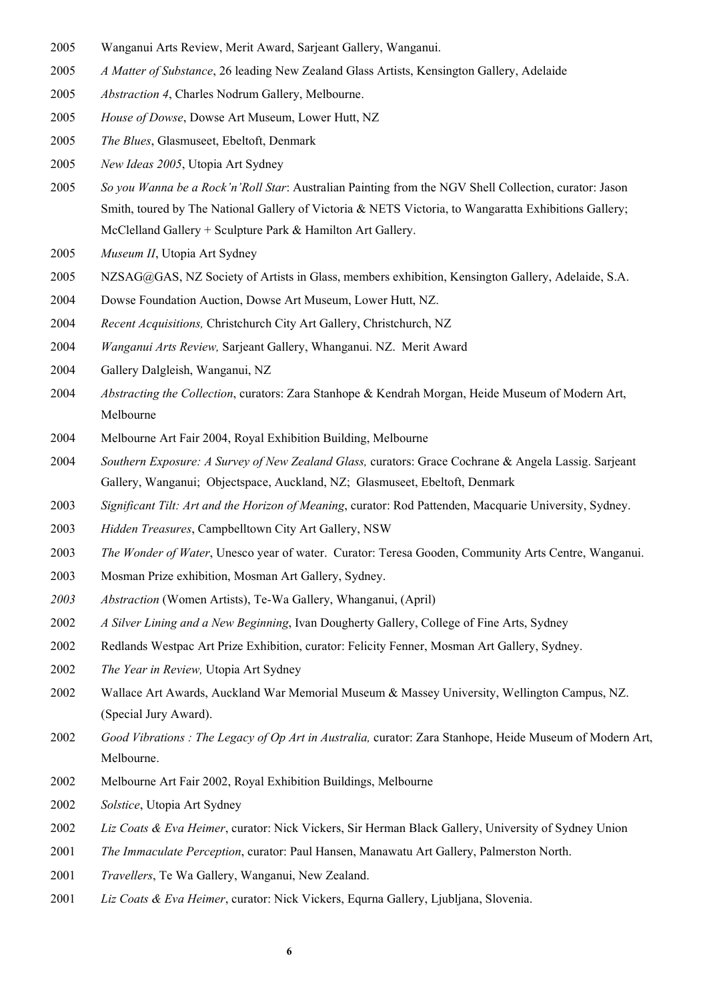- Wanganui Arts Review, Merit Award, Sarjeant Gallery, Wanganui.
- *A Matter of Substance*, 26 leading New Zealand Glass Artists, Kensington Gallery, Adelaide
- *Abstraction 4*, Charles Nodrum Gallery, Melbourne.
- *House of Dowse*, Dowse Art Museum, Lower Hutt, NZ
- *The Blues*, Glasmuseet, Ebeltoft, Denmark
- *New Ideas 2005*, Utopia Art Sydney
- *So you Wanna be a Rock'n'Roll Star*: Australian Painting from the NGV Shell Collection, curator: Jason Smith, toured by The National Gallery of Victoria & NETS Victoria, to Wangaratta Exhibitions Gallery; McClelland Gallery + Sculpture Park & Hamilton Art Gallery.
- *Museum II*, Utopia Art Sydney
- NZSAG@GAS, NZ Society of Artists in Glass, members exhibition, Kensington Gallery, Adelaide, S.A.
- Dowse Foundation Auction, Dowse Art Museum, Lower Hutt, NZ.
- *Recent Acquisitions,* Christchurch City Art Gallery, Christchurch, NZ
- *Wanganui Arts Review,* Sarjeant Gallery, Whanganui. NZ. Merit Award
- Gallery Dalgleish, Wanganui, NZ
- *Abstracting the Collection*, curators: Zara Stanhope & Kendrah Morgan, Heide Museum of Modern Art, Melbourne
- Melbourne Art Fair 2004, Royal Exhibition Building, Melbourne
- *Southern Exposure: A Survey of New Zealand Glass,* curators: Grace Cochrane & Angela Lassig. Sarjeant Gallery, Wanganui; Objectspace, Auckland, NZ; Glasmuseet, Ebeltoft, Denmark
- *Significant Tilt: Art and the Horizon of Meaning*, curator: Rod Pattenden, Macquarie University, Sydney.
- *Hidden Treasures*, Campbelltown City Art Gallery, NSW
- *The Wonder of Water*, Unesco year of water. Curator: Teresa Gooden, Community Arts Centre, Wanganui.
- Mosman Prize exhibition, Mosman Art Gallery, Sydney.
- *Abstraction* (Women Artists), Te-Wa Gallery, Whanganui, (April)
- *A Silver Lining and a New Beginning*, Ivan Dougherty Gallery, College of Fine Arts, Sydney
- Redlands Westpac Art Prize Exhibition, curator: Felicity Fenner, Mosman Art Gallery, Sydney.
- *The Year in Review,* Utopia Art Sydney
- Wallace Art Awards, Auckland War Memorial Museum & Massey University, Wellington Campus, NZ. (Special Jury Award).
- *Good Vibrations : The Legacy of Op Art in Australia,* curator: Zara Stanhope, Heide Museum of Modern Art, Melbourne.
- Melbourne Art Fair 2002, Royal Exhibition Buildings, Melbourne
- *Solstice*, Utopia Art Sydney
- *Liz Coats & Eva Heimer*, curator: Nick Vickers, Sir Herman Black Gallery, University of Sydney Union
- *The Immaculate Perception*, curator: Paul Hansen, Manawatu Art Gallery, Palmerston North.
- *Travellers*, Te Wa Gallery, Wanganui, New Zealand.
- *Liz Coats & Eva Heimer*, curator: Nick Vickers, Equrna Gallery, Ljubljana, Slovenia.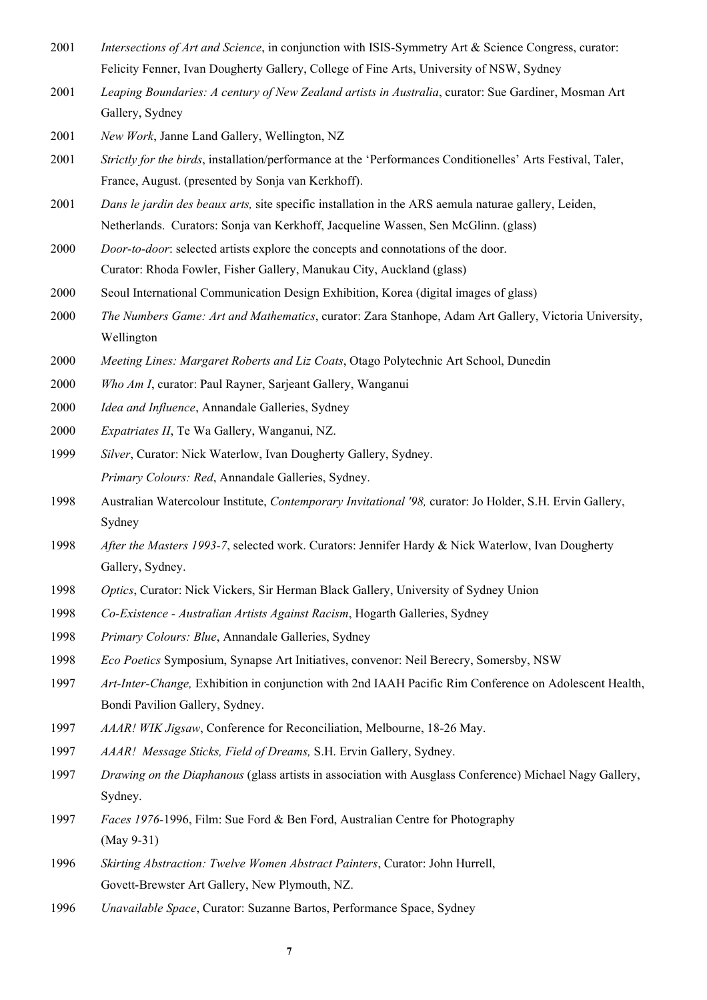- *Intersections of Art and Science*, in conjunction with ISIS-Symmetry Art & Science Congress, curator: Felicity Fenner, Ivan Dougherty Gallery, College of Fine Arts, University of NSW, Sydney
- *Leaping Boundaries: A century of New Zealand artists in Australia*, curator: Sue Gardiner, Mosman Art Gallery, Sydney
- *New Work*, Janne Land Gallery, Wellington, NZ
- *Strictly for the birds*, installation/performance at the 'Performances Conditionelles' Arts Festival, Taler, France, August. (presented by Sonja van Kerkhoff).
- *Dans le jardin des beaux arts,* site specific installation in the ARS aemula naturae gallery, Leiden, Netherlands. Curators: Sonja van Kerkhoff, Jacqueline Wassen, Sen McGlinn. (glass)
- *Door-to-door*: selected artists explore the concepts and connotations of the door. Curator: Rhoda Fowler, Fisher Gallery, Manukau City, Auckland (glass)
- Seoul International Communication Design Exhibition, Korea (digital images of glass)
- *The Numbers Game: Art and Mathematics*, curator: Zara Stanhope, Adam Art Gallery, Victoria University, Wellington
- *Meeting Lines: Margaret Roberts and Liz Coats*, Otago Polytechnic Art School, Dunedin
- *Who Am I*, curator: Paul Rayner, Sarjeant Gallery, Wanganui
- *Idea and Influence*, Annandale Galleries, Sydney
- *Expatriates II*, Te Wa Gallery, Wanganui, NZ.
- *Silver*, Curator: Nick Waterlow, Ivan Dougherty Gallery, Sydney. *Primary Colours: Red*, Annandale Galleries, Sydney.
- Australian Watercolour Institute, *Contemporary Invitational '98,* curator: Jo Holder, S.H. Ervin Gallery, Sydney
- *After the Masters 1993-7*, selected work. Curators: Jennifer Hardy & Nick Waterlow, Ivan Dougherty Gallery, Sydney.
- *Optics*, Curator: Nick Vickers, Sir Herman Black Gallery, University of Sydney Union
- *Co-Existence - Australian Artists Against Racism*, Hogarth Galleries, Sydney
- *Primary Colours: Blue*, Annandale Galleries, Sydney
- *Eco Poetics* Symposium, Synapse Art Initiatives, convenor: Neil Berecry, Somersby, NSW
- *Art-Inter-Change,* Exhibition in conjunction with 2nd IAAH Pacific Rim Conference on Adolescent Health, Bondi Pavilion Gallery, Sydney.
- *AAAR! WIK Jigsaw*, Conference for Reconciliation, Melbourne, 18-26 May.
- *AAAR! Message Sticks, Field of Dreams,* S.H. Ervin Gallery, Sydney.
- *Drawing on the Diaphanous* (glass artists in association with Ausglass Conference) Michael Nagy Gallery, Sydney.
- *Faces 1976-*1996, Film: Sue Ford & Ben Ford, Australian Centre for Photography (May 9-31)
- *Skirting Abstraction: Twelve Women Abstract Painters*, Curator: John Hurrell, Govett-Brewster Art Gallery, New Plymouth, NZ.
- *Unavailable Space*, Curator: Suzanne Bartos, Performance Space, Sydney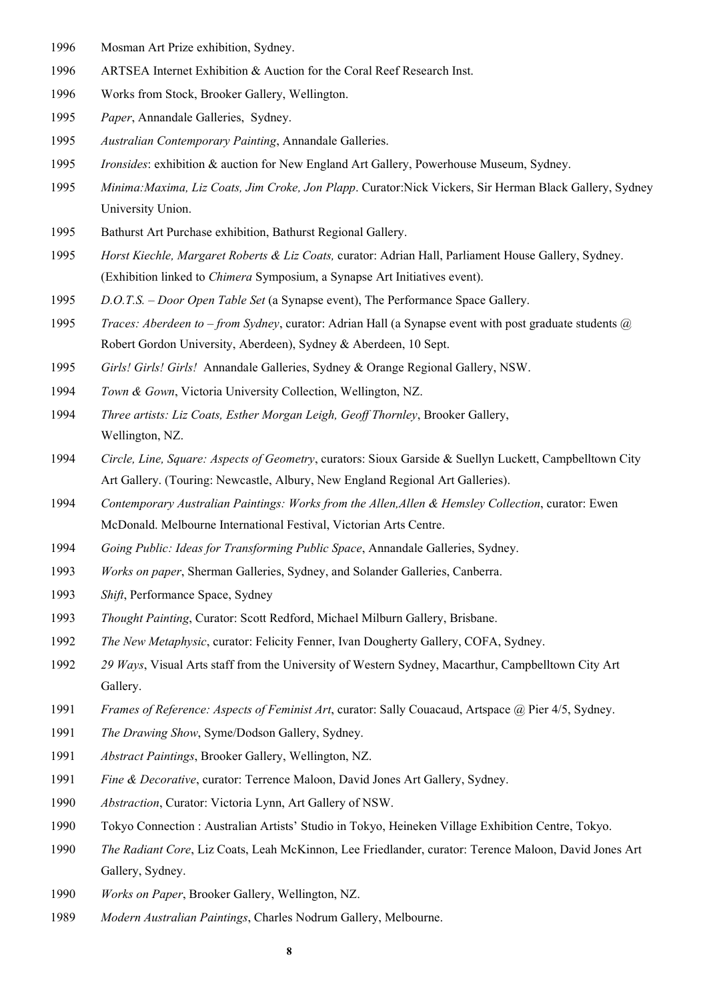- Mosman Art Prize exhibition, Sydney.
- ARTSEA Internet Exhibition & Auction for the Coral Reef Research Inst.
- Works from Stock, Brooker Gallery, Wellington.
- *Paper*, Annandale Galleries, Sydney.
- *Australian Contemporary Painting*, Annandale Galleries.
- *Ironsides*: exhibition & auction for New England Art Gallery, Powerhouse Museum, Sydney.
- *Minima:Maxima, Liz Coats, Jim Croke, Jon Plapp*. Curator:Nick Vickers, Sir Herman Black Gallery, Sydney University Union.
- Bathurst Art Purchase exhibition, Bathurst Regional Gallery.
- *Horst Kiechle, Margaret Roberts & Liz Coats,* curator: Adrian Hall, Parliament House Gallery, Sydney. (Exhibition linked to *Chimera* Symposium, a Synapse Art Initiatives event).
- *D.O.T.S. – Door Open Table Set* (a Synapse event), The Performance Space Gallery.
- *Traces: Aberdeen to – from Sydney*, curator: Adrian Hall (a Synapse event with post graduate students @ Robert Gordon University, Aberdeen), Sydney & Aberdeen, 10 Sept.
- *Girls! Girls! Girls!* Annandale Galleries, Sydney & Orange Regional Gallery, NSW.
- *Town & Gown*, Victoria University Collection, Wellington, NZ.
- *Three artists: Liz Coats, Esther Morgan Leigh, Geoff Thornley*, Brooker Gallery, Wellington, NZ.
- *Circle, Line, Square: Aspects of Geometry*, curators: Sioux Garside & Suellyn Luckett, Campbelltown City Art Gallery. (Touring: Newcastle, Albury, New England Regional Art Galleries).
- *Contemporary Australian Paintings: Works from the Allen,Allen & Hemsley Collection*, curator: Ewen McDonald. Melbourne International Festival, Victorian Arts Centre.
- *Going Public: Ideas for Transforming Public Space*, Annandale Galleries, Sydney.
- *Works on paper*, Sherman Galleries, Sydney, and Solander Galleries, Canberra.
- *Shift*, Performance Space, Sydney
- *Thought Painting*, Curator: Scott Redford, Michael Milburn Gallery, Brisbane.
- *The New Metaphysic*, curator: Felicity Fenner, Ivan Dougherty Gallery, COFA, Sydney.
- *29 Ways*, Visual Arts staff from the University of Western Sydney, Macarthur, Campbelltown City Art Gallery.
- *Frames of Reference: Aspects of Feminist Art*, curator: Sally Couacaud, Artspace @ Pier 4/5, Sydney.
- *The Drawing Show*, Syme/Dodson Gallery, Sydney.
- *Abstract Paintings*, Brooker Gallery, Wellington, NZ.
- *Fine & Decorative*, curator: Terrence Maloon, David Jones Art Gallery, Sydney.
- *Abstraction*, Curator: Victoria Lynn, Art Gallery of NSW.
- Tokyo Connection : Australian Artists' Studio in Tokyo, Heineken Village Exhibition Centre, Tokyo.
- *The Radiant Core*, Liz Coats, Leah McKinnon, Lee Friedlander, curator: Terence Maloon, David Jones Art Gallery, Sydney.
- *Works on Paper*, Brooker Gallery, Wellington, NZ.
- *Modern Australian Paintings*, Charles Nodrum Gallery, Melbourne.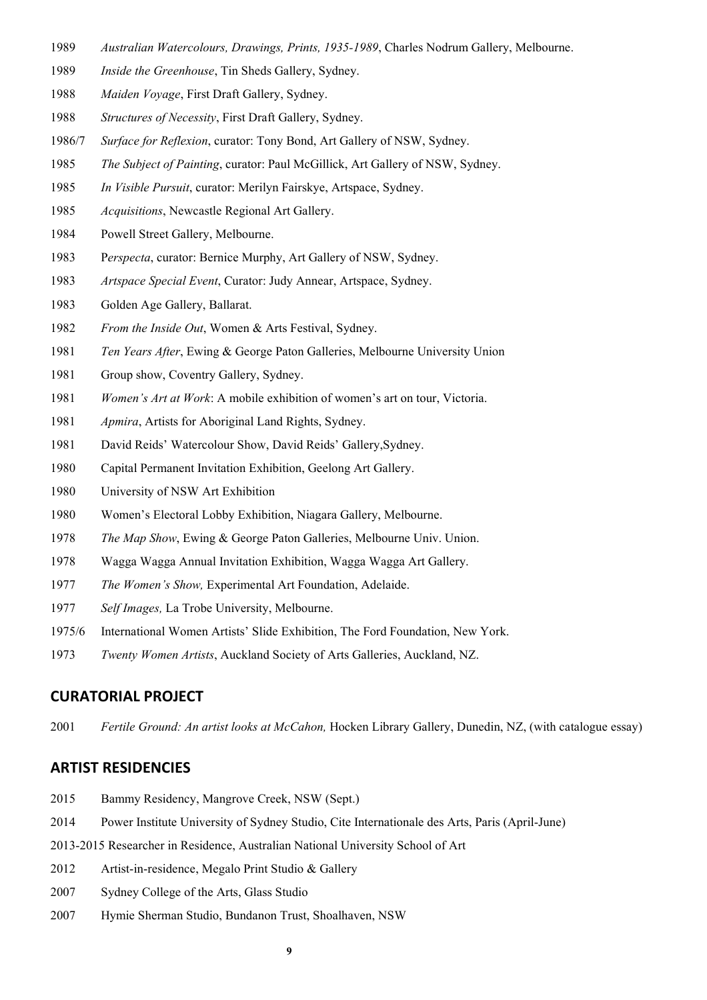- *Australian Watercolours, Drawings, Prints, 1935-1989*, Charles Nodrum Gallery, Melbourne.
- *Inside the Greenhouse*, Tin Sheds Gallery, Sydney.
- *Maiden Voyage*, First Draft Gallery, Sydney.
- *Structures of Necessity*, First Draft Gallery, Sydney.
- 1986/7 *Surface for Reflexion*, curator: Tony Bond, Art Gallery of NSW, Sydney.
- *The Subject of Painting*, curator: Paul McGillick, Art Gallery of NSW, Sydney.
- *In Visible Pursuit*, curator: Merilyn Fairskye, Artspace, Sydney.
- *Acquisitions*, Newcastle Regional Art Gallery.
- Powell Street Gallery, Melbourne.
- P*erspecta*, curator: Bernice Murphy, Art Gallery of NSW, Sydney.
- *Artspace Special Event*, Curator: Judy Annear, Artspace, Sydney.
- Golden Age Gallery, Ballarat.
- *From the Inside Out*, Women & Arts Festival, Sydney.
- *Ten Years After*, Ewing & George Paton Galleries, Melbourne University Union
- Group show, Coventry Gallery, Sydney.
- *Women's Art at Work*: A mobile exhibition of women's art on tour, Victoria.
- *Apmira*, Artists for Aboriginal Land Rights, Sydney.
- David Reids' Watercolour Show, David Reids' Gallery,Sydney.
- Capital Permanent Invitation Exhibition, Geelong Art Gallery.
- University of NSW Art Exhibition
- Women's Electoral Lobby Exhibition, Niagara Gallery, Melbourne.
- *The Map Show*, Ewing & George Paton Galleries, Melbourne Univ. Union.
- Wagga Wagga Annual Invitation Exhibition, Wagga Wagga Art Gallery.
- *The Women's Show,* Experimental Art Foundation, Adelaide.
- *Self Images,* La Trobe University, Melbourne.
- 1975/6 International Women Artists' Slide Exhibition, The Ford Foundation, New York.
- *Twenty Women Artists*, Auckland Society of Arts Galleries, Auckland, NZ.

### **CURATORIAL PROJECT**

*Fertile Ground: An artist looks at McCahon,* Hocken Library Gallery, Dunedin, NZ, (with catalogue essay)

#### **ARTIST RESIDENCIES**

- Bammy Residency, Mangrove Creek, NSW (Sept.)
- Power Institute University of Sydney Studio, Cite Internationale des Arts, Paris (April-June)
- 2013-2015 Researcher in Residence, Australian National University School of Art
- Artist-in-residence, Megalo Print Studio & Gallery
- Sydney College of the Arts, Glass Studio
- Hymie Sherman Studio, Bundanon Trust, Shoalhaven, NSW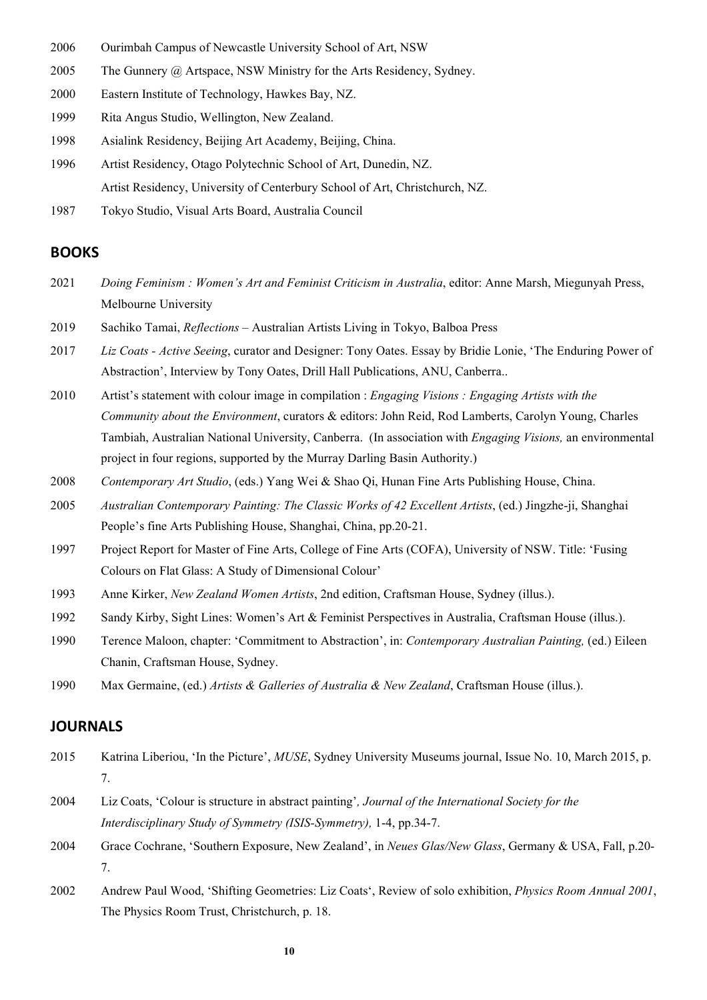- 2006 Ourimbah Campus of Newcastle University School of Art, NSW
- 2005 The Gunnery @ Artspace, NSW Ministry for the Arts Residency, Sydney.
- 2000 Eastern Institute of Technology, Hawkes Bay, NZ.
- 1999 Rita Angus Studio, Wellington, New Zealand.
- 1998 Asialink Residency, Beijing Art Academy, Beijing, China.
- 1996 Artist Residency, Otago Polytechnic School of Art, Dunedin, NZ. Artist Residency, University of Centerbury School of Art, Christchurch, NZ.
- 1987 Tokyo Studio, Visual Arts Board, Australia Council

#### **BOOKS**

- 2021 *Doing Feminism : Women's Art and Feminist Criticism in Australia*, editor: Anne Marsh, Miegunyah Press, Melbourne University
- 2019 Sachiko Tamai, *Reflections* Australian Artists Living in Tokyo, Balboa Press
- 2017 *Liz Coats - Active Seeing*, curator and Designer: Tony Oates. Essay by Bridie Lonie, 'The Enduring Power of Abstraction', Interview by Tony Oates, Drill Hall Publications, ANU, Canberra..
- 2010 Artist's statement with colour image in compilation : *Engaging Visions : Engaging Artists with the Community about the Environment*, curators & editors: John Reid, Rod Lamberts, Carolyn Young, Charles Tambiah, Australian National University, Canberra. (In association with *Engaging Visions,* an environmental project in four regions, supported by the Murray Darling Basin Authority.)
- 2008 *Contemporary Art Studio*, (eds.) Yang Wei & Shao Qi, Hunan Fine Arts Publishing House, China.
- 2005 *Australian Contemporary Painting: The Classic Works of 42 Excellent Artists*, (ed.) Jingzhe-ji, Shanghai People's fine Arts Publishing House, Shanghai, China, pp.20-21.
- 1997 Project Report for Master of Fine Arts, College of Fine Arts (COFA), University of NSW. Title: 'Fusing Colours on Flat Glass: A Study of Dimensional Colour'
- 1993 Anne Kirker, *New Zealand Women Artists*, 2nd edition, Craftsman House, Sydney (illus.).
- 1992 Sandy Kirby, Sight Lines: Women's Art & Feminist Perspectives in Australia, Craftsman House (illus.).
- 1990 Terence Maloon, chapter: 'Commitment to Abstraction', in: *Contemporary Australian Painting,* (ed.) Eileen Chanin, Craftsman House, Sydney.
- 1990 Max Germaine, (ed.) *Artists & Galleries of Australia & New Zealand*, Craftsman House (illus.).

### **JOURNALS**

- 2015 Katrina Liberiou, 'In the Picture', *MUSE*, Sydney University Museums journal, Issue No. 10, March 2015, p. 7.
- 2004 Liz Coats, 'Colour is structure in abstract painting'*, Journal of the International Society for the Interdisciplinary Study of Symmetry (ISIS-Symmetry),* 1-4, pp.34-7.
- 2004 Grace Cochrane, 'Southern Exposure, New Zealand', in *Neues Glas/New Glass*, Germany & USA, Fall, p.20- 7.
- 2002 Andrew Paul Wood, 'Shifting Geometries: Liz Coats', Review of solo exhibition, *Physics Room Annual 2001*, The Physics Room Trust, Christchurch, p. 18.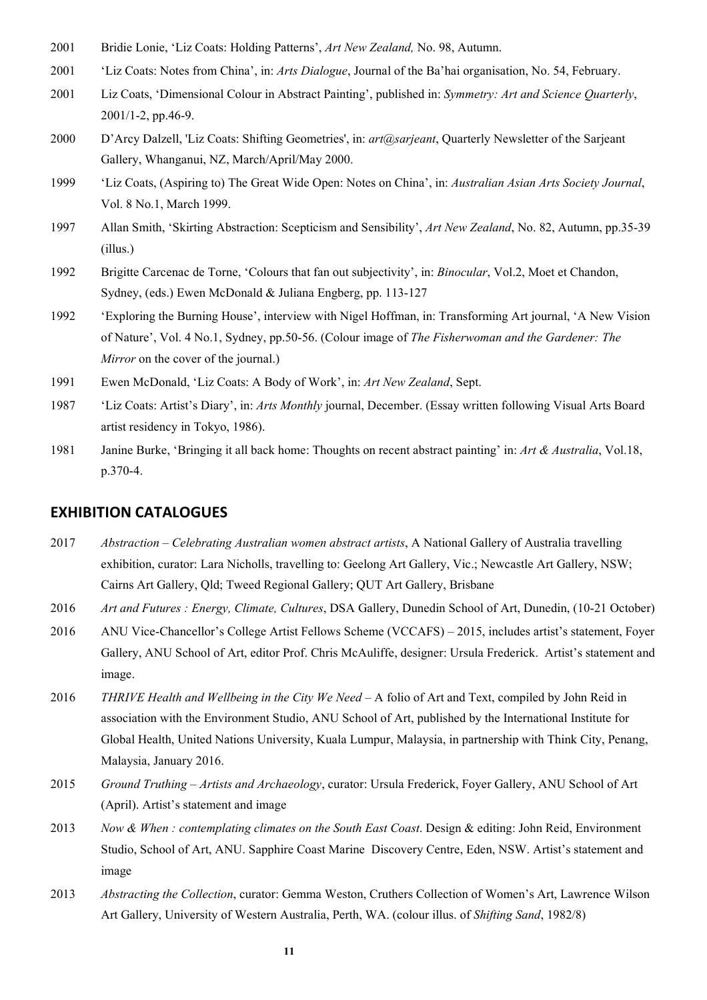- 2001 Bridie Lonie, 'Liz Coats: Holding Patterns', *Art New Zealand,* No. 98, Autumn.
- 2001 'Liz Coats: Notes from China', in: *Arts Dialogue*, Journal of the Ba'hai organisation, No. 54, February.
- 2001 Liz Coats, 'Dimensional Colour in Abstract Painting', published in: *Symmetry: Art and Science Quarterly*, 2001/1-2, pp.46-9.
- 2000 D'Arcy Dalzell, 'Liz Coats: Shifting Geometries', in: *art@sarjeant*, Quarterly Newsletter of the Sarjeant Gallery, Whanganui, NZ, March/April/May 2000.
- 1999 'Liz Coats, (Aspiring to) The Great Wide Open: Notes on China', in: *Australian Asian Arts Society Journal*, Vol. 8 No.1, March 1999.
- 1997 Allan Smith, 'Skirting Abstraction: Scepticism and Sensibility', *Art New Zealand*, No. 82, Autumn, pp.35-39 (illus.)
- 1992 Brigitte Carcenac de Torne, 'Colours that fan out subjectivity', in: *Binocular*, Vol.2, Moet et Chandon, Sydney, (eds.) Ewen McDonald & Juliana Engberg, pp. 113-127
- 1992 'Exploring the Burning House', interview with Nigel Hoffman, in: Transforming Art journal, 'A New Vision of Nature', Vol. 4 No.1, Sydney, pp.50-56. (Colour image of *The Fisherwoman and the Gardener: The Mirror* on the cover of the journal.)
- 1991 Ewen McDonald, 'Liz Coats: A Body of Work', in: *Art New Zealand*, Sept.
- 1987 'Liz Coats: Artist's Diary', in: *Arts Monthly* journal, December. (Essay written following Visual Arts Board artist residency in Tokyo, 1986).
- 1981 Janine Burke, 'Bringing it all back home: Thoughts on recent abstract painting' in: *Art & Australia*, Vol.18, p.370-4.

### **EXHIBITION CATALOGUES**

- 2017 *Abstraction – Celebrating Australian women abstract artists*, A National Gallery of Australia travelling exhibition, curator: Lara Nicholls, travelling to: Geelong Art Gallery, Vic.; Newcastle Art Gallery, NSW; Cairns Art Gallery, Qld; Tweed Regional Gallery; QUT Art Gallery, Brisbane
- 2016 *Art and Futures : Energy, Climate, Cultures*, DSA Gallery, Dunedin School of Art, Dunedin, (10-21 October)
- 2016 ANU Vice-Chancellor's College Artist Fellows Scheme (VCCAFS) 2015, includes artist's statement, Foyer Gallery, ANU School of Art, editor Prof. Chris McAuliffe, designer: Ursula Frederick. Artist's statement and image.
- 2016 *THRIVE Health and Wellbeing in the City We Need* A folio of Art and Text, compiled by John Reid in association with the Environment Studio, ANU School of Art, published by the International Institute for Global Health, United Nations University, Kuala Lumpur, Malaysia, in partnership with Think City, Penang, Malaysia, January 2016.
- 2015 *Ground Truthing – Artists and Archaeology*, curator: Ursula Frederick, Foyer Gallery, ANU School of Art (April). Artist's statement and image
- 2013 *Now & When : contemplating climates on the South East Coast*. Design & editing: John Reid, Environment Studio, School of Art, ANU. Sapphire Coast Marine Discovery Centre, Eden, NSW. Artist's statement and image
- 2013 *Abstracting the Collection*, curator: Gemma Weston, Cruthers Collection of Women's Art, Lawrence Wilson Art Gallery, University of Western Australia, Perth, WA. (colour illus. of *Shifting Sand*, 1982/8)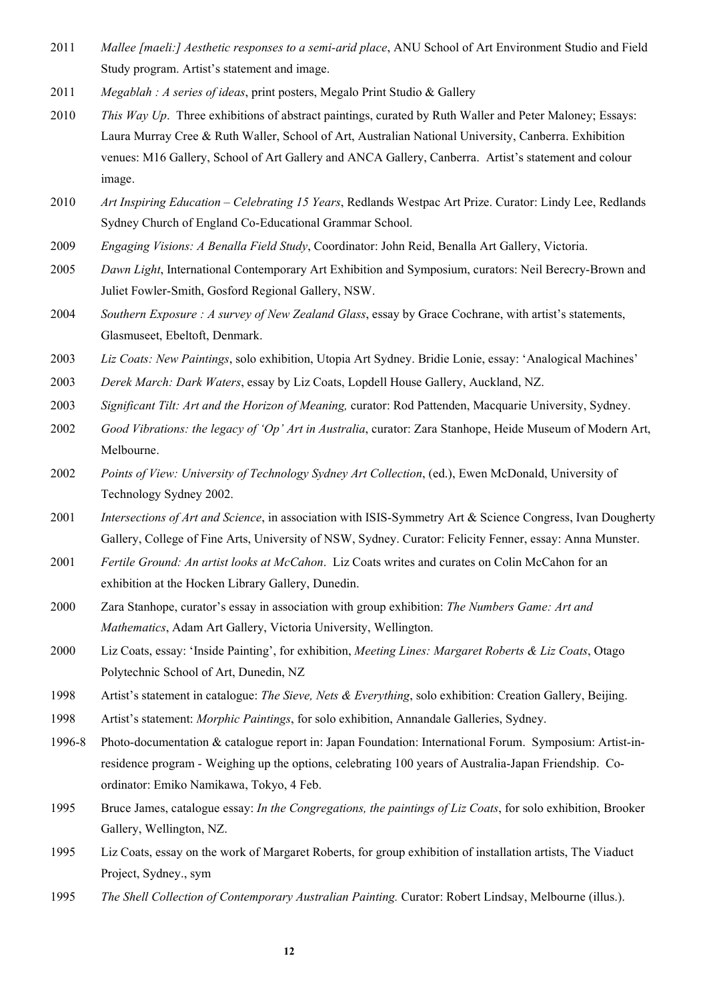- 2011 *Mallee [maeli:] Aesthetic responses to a semi-arid place*, ANU School of Art Environment Studio and Field Study program. Artist's statement and image.
- 2011 *Megablah : A series of ideas*, print posters, Megalo Print Studio & Gallery
- 2010 *This Way Up*. Three exhibitions of abstract paintings, curated by Ruth Waller and Peter Maloney; Essays: Laura Murray Cree & Ruth Waller, School of Art, Australian National University, Canberra. Exhibition venues: M16 Gallery, School of Art Gallery and ANCA Gallery, Canberra. Artist's statement and colour image.
- 2010 *Art Inspiring Education – Celebrating 15 Years*, Redlands Westpac Art Prize. Curator: Lindy Lee, Redlands Sydney Church of England Co-Educational Grammar School.
- 2009 *Engaging Visions: A Benalla Field Study*, Coordinator: John Reid, Benalla Art Gallery, Victoria.
- 2005 *Dawn Light*, International Contemporary Art Exhibition and Symposium, curators: Neil Berecry-Brown and Juliet Fowler-Smith, Gosford Regional Gallery, NSW.
- 2004 *Southern Exposure : A survey of New Zealand Glass*, essay by Grace Cochrane, with artist's statements, Glasmuseet, Ebeltoft, Denmark.
- 2003 *Liz Coats: New Paintings*, solo exhibition, Utopia Art Sydney. Bridie Lonie, essay: 'Analogical Machines'
- 2003 *Derek March: Dark Waters*, essay by Liz Coats, Lopdell House Gallery, Auckland, NZ.
- 2003 *Significant Tilt: Art and the Horizon of Meaning,* curator: Rod Pattenden, Macquarie University, Sydney.
- 2002 *Good Vibrations: the legacy of 'Op' Art in Australia*, curator: Zara Stanhope, Heide Museum of Modern Art, Melbourne.
- 2002 *Points of View: University of Technology Sydney Art Collection*, (ed.), Ewen McDonald, University of Technology Sydney 2002.
- 2001 *Intersections of Art and Science*, in association with ISIS-Symmetry Art & Science Congress, Ivan Dougherty Gallery, College of Fine Arts, University of NSW, Sydney. Curator: Felicity Fenner, essay: Anna Munster.
- 2001 *Fertile Ground: An artist looks at McCahon*. Liz Coats writes and curates on Colin McCahon for an exhibition at the Hocken Library Gallery, Dunedin.
- 2000 Zara Stanhope, curator's essay in association with group exhibition: *The Numbers Game: Art and Mathematics*, Adam Art Gallery, Victoria University, Wellington.
- 2000 Liz Coats, essay: 'Inside Painting', for exhibition, *Meeting Lines: Margaret Roberts & Liz Coats*, Otago Polytechnic School of Art, Dunedin, NZ
- 1998 Artist's statement in catalogue: *The Sieve, Nets & Everything*, solo exhibition: Creation Gallery, Beijing.
- 1998 Artist's statement: *Morphic Paintings*, for solo exhibition, Annandale Galleries, Sydney.
- 1996-8 Photo-documentation & catalogue report in: Japan Foundation: International Forum. Symposium: Artist-inresidence program - Weighing up the options, celebrating 100 years of Australia-Japan Friendship. Coordinator: Emiko Namikawa, Tokyo, 4 Feb.
- 1995 Bruce James, catalogue essay: *In the Congregations, the paintings of Liz Coats*, for solo exhibition, Brooker Gallery, Wellington, NZ.
- 1995 Liz Coats, essay on the work of Margaret Roberts, for group exhibition of installation artists, The Viaduct Project, Sydney., sym
- 1995 *The Shell Collection of Contemporary Australian Painting.* Curator: Robert Lindsay, Melbourne (illus.).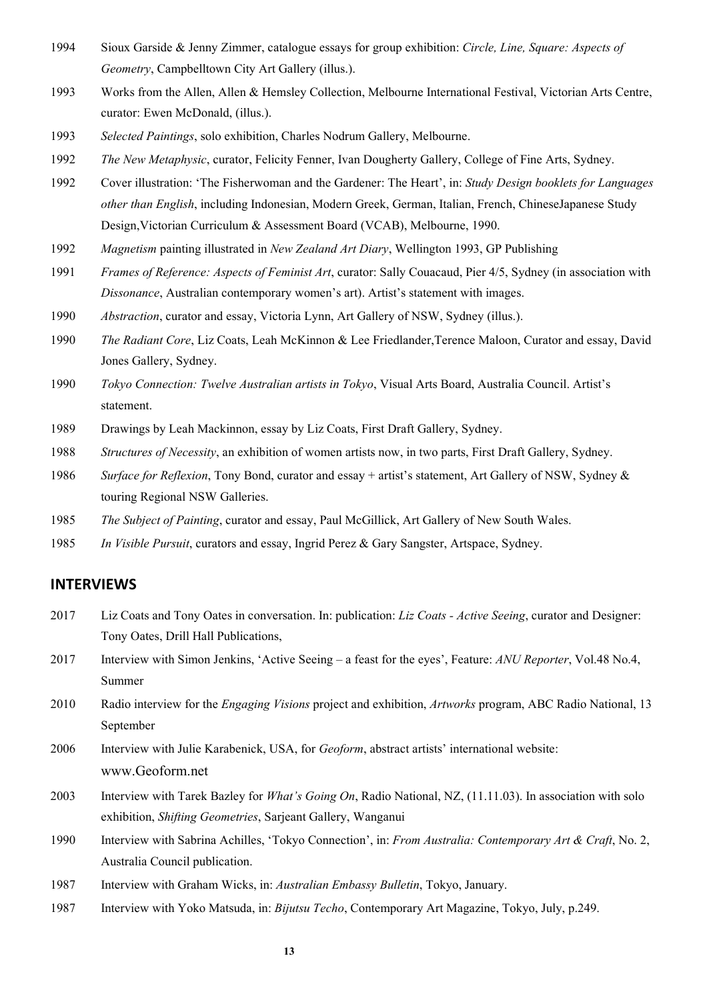- Sioux Garside & Jenny Zimmer, catalogue essays for group exhibition: *Circle, Line, Square: Aspects of Geometry*, Campbelltown City Art Gallery (illus.).
- Works from the Allen, Allen & Hemsley Collection, Melbourne International Festival, Victorian Arts Centre, curator: Ewen McDonald, (illus.).
- *Selected Paintings*, solo exhibition, Charles Nodrum Gallery, Melbourne.
- *The New Metaphysic*, curator, Felicity Fenner, Ivan Dougherty Gallery, College of Fine Arts, Sydney.
- Cover illustration: 'The Fisherwoman and the Gardener: The Heart', in: *Study Design booklets for Languages other than English*, including Indonesian, Modern Greek, German, Italian, French, ChineseJapanese Study Design,Victorian Curriculum & Assessment Board (VCAB), Melbourne, 1990.
- *Magnetism* painting illustrated in *New Zealand Art Diary*, Wellington 1993, GP Publishing
- *Frames of Reference: Aspects of Feminist Art*, curator: Sally Couacaud, Pier 4/5, Sydney (in association with *Dissonance*, Australian contemporary women's art). Artist's statement with images.
- *Abstraction*, curator and essay, Victoria Lynn, Art Gallery of NSW, Sydney (illus.).
- *The Radiant Core*, Liz Coats, Leah McKinnon & Lee Friedlander,Terence Maloon, Curator and essay, David Jones Gallery, Sydney.
- *Tokyo Connection: Twelve Australian artists in Tokyo*, Visual Arts Board, Australia Council. Artist's statement.
- Drawings by Leah Mackinnon, essay by Liz Coats, First Draft Gallery, Sydney.
- *Structures of Necessity*, an exhibition of women artists now, in two parts, First Draft Gallery, Sydney.
- *Surface for Reflexion*, Tony Bond, curator and essay + artist's statement, Art Gallery of NSW, Sydney & touring Regional NSW Galleries.
- *The Subject of Painting*, curator and essay, Paul McGillick, Art Gallery of New South Wales.
- *In Visible Pursuit*, curators and essay, Ingrid Perez & Gary Sangster, Artspace, Sydney.

### **INTERVIEWS**

- Liz Coats and Tony Oates in conversation. In: publication: *Liz Coats - Active Seeing*, curator and Designer: Tony Oates, Drill Hall Publications,
- Interview with Simon Jenkins, 'Active Seeing a feast for the eyes', Feature: *ANU Reporter*, Vol.48 No.4, Summer
- Radio interview for the *Engaging Visions* project and exhibition, *Artworks* program, ABC Radio National, 13 September
- Interview with Julie Karabenick, USA, for *Geoform*, abstract artists' international website: www.Geoform.net
- Interview with Tarek Bazley for *What's Going On*, Radio National, NZ, (11.11.03). In association with solo exhibition, *Shifting Geometries*, Sarjeant Gallery, Wanganui
- Interview with Sabrina Achilles, 'Tokyo Connection', in: *From Australia: Contemporary Art & Craft*, No. 2, Australia Council publication.
- Interview with Graham Wicks, in: *Australian Embassy Bulletin*, Tokyo, January.
- Interview with Yoko Matsuda, in: *Bijutsu Techo*, Contemporary Art Magazine, Tokyo, July, p.249.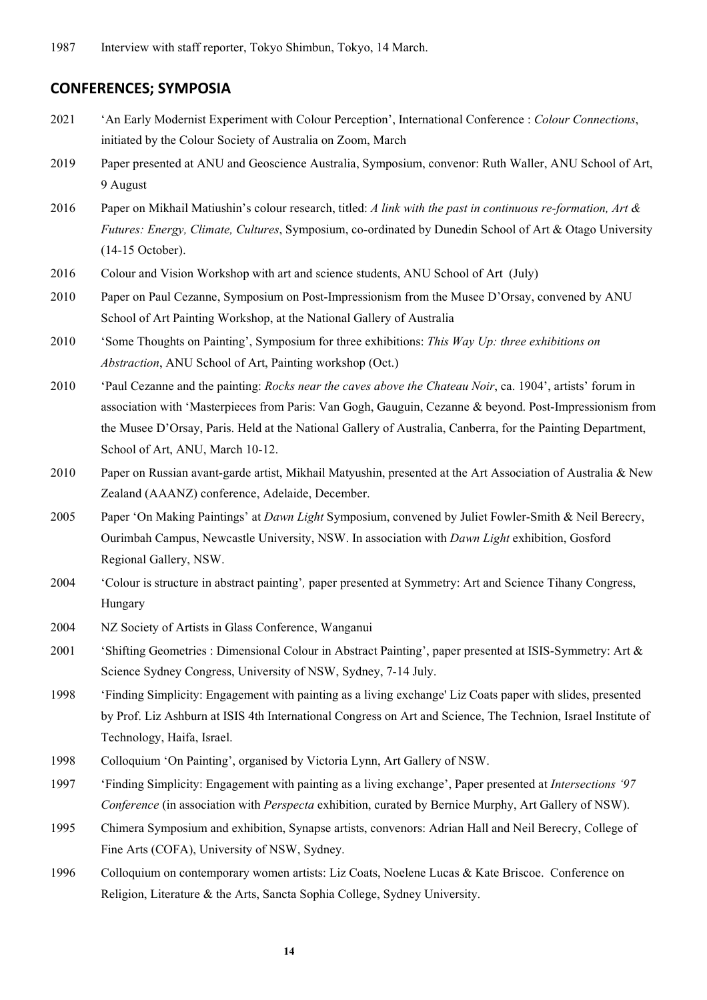## **CONFERENCES; SYMPOSIA**

- 2021 'An Early Modernist Experiment with Colour Perception', International Conference : *Colour Connections*, initiated by the Colour Society of Australia on Zoom, March
- 2019 Paper presented at ANU and Geoscience Australia, Symposium, convenor: Ruth Waller, ANU School of Art, 9 August
- 2016 Paper on Mikhail Matiushin's colour research, titled: *A link with the past in continuous re-formation, Art & Futures: Energy, Climate, Cultures*, Symposium, co-ordinated by Dunedin School of Art & Otago University (14-15 October).
- 2016 Colour and Vision Workshop with art and science students, ANU School of Art (July)
- 2010 Paper on Paul Cezanne, Symposium on Post-Impressionism from the Musee D'Orsay, convened by ANU School of Art Painting Workshop, at the National Gallery of Australia
- 2010 'Some Thoughts on Painting', Symposium for three exhibitions: *This Way Up: three exhibitions on Abstraction*, ANU School of Art, Painting workshop (Oct.)
- 2010 'Paul Cezanne and the painting: *Rocks near the caves above the Chateau Noir*, ca. 1904', artists' forum in association with 'Masterpieces from Paris: Van Gogh, Gauguin, Cezanne & beyond. Post-Impressionism from the Musee D'Orsay, Paris. Held at the National Gallery of Australia, Canberra, for the Painting Department, School of Art, ANU, March 10-12.
- 2010 Paper on Russian avant-garde artist, Mikhail Matyushin, presented at the Art Association of Australia & New Zealand (AAANZ) conference, Adelaide, December.
- 2005 Paper 'On Making Paintings' at *Dawn Light* Symposium, convened by Juliet Fowler-Smith & Neil Berecry, Ourimbah Campus, Newcastle University, NSW. In association with *Dawn Light* exhibition, Gosford Regional Gallery, NSW.
- 2004 'Colour is structure in abstract painting'*,* paper presented at Symmetry: Art and Science Tihany Congress, Hungary
- 2004 NZ Society of Artists in Glass Conference, Wanganui
- 2001 'Shifting Geometries : Dimensional Colour in Abstract Painting', paper presented at ISIS-Symmetry: Art & Science Sydney Congress, University of NSW, Sydney, 7-14 July.
- 1998 'Finding Simplicity: Engagement with painting as a living exchange' Liz Coats paper with slides, presented by Prof. Liz Ashburn at ISIS 4th International Congress on Art and Science, The Technion, Israel Institute of Technology, Haifa, Israel.
- 1998 Colloquium 'On Painting', organised by Victoria Lynn, Art Gallery of NSW.
- 1997 'Finding Simplicity: Engagement with painting as a living exchange', Paper presented at *Intersections '97 Conference* (in association with *Perspecta* exhibition, curated by Bernice Murphy, Art Gallery of NSW).
- 1995 Chimera Symposium and exhibition, Synapse artists, convenors: Adrian Hall and Neil Berecry, College of Fine Arts (COFA), University of NSW, Sydney.
- 1996 Colloquium on contemporary women artists: Liz Coats, Noelene Lucas & Kate Briscoe. Conference on Religion, Literature & the Arts, Sancta Sophia College, Sydney University.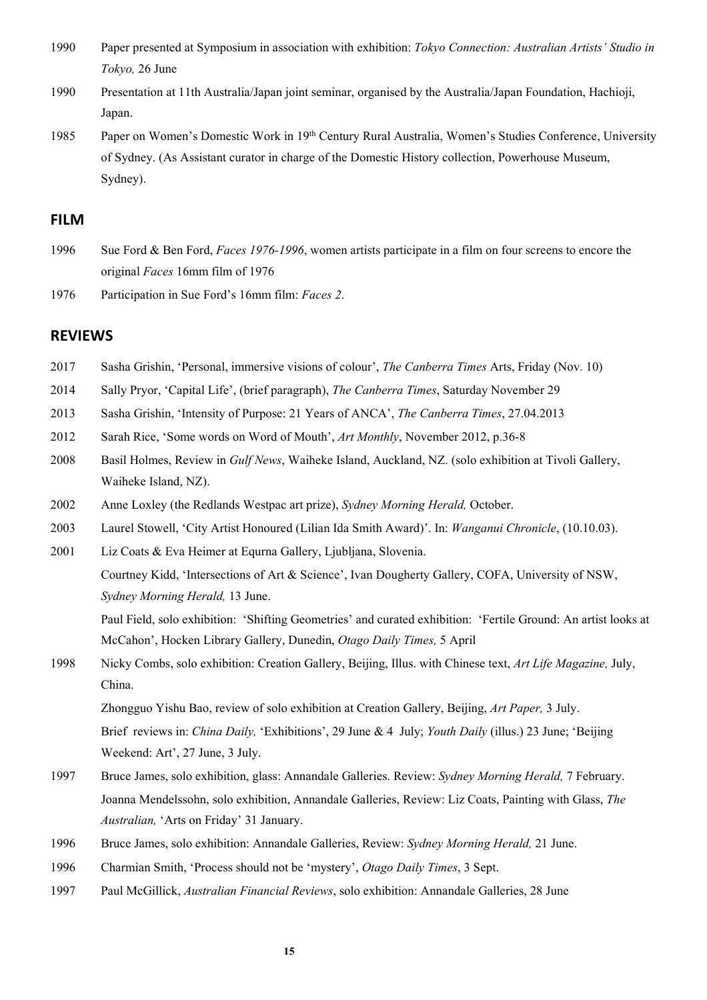- 1990 Paper presented at Symposium in association with exhibition: *Tokyo Connection: Australian Artists' Studio in Tokyo,* 26 June
- 1990 Presentation at 11th Australia/Japan joint seminar, organised by the Australia/Japan Foundation, Hachioji, Japan.
- 1985 Paper on Women's Domestic Work in 19th Century Rural Australia, Women's Studies Conference, University of Sydney. (As Assistant curator in charge of the Domestic History collection, Powerhouse Museum, Sydney).

### **FILM**

- 1996 Sue Ford & Ben Ford, *Faces 1976-1996*, women artists participate in a film on four screens to encore the original *Faces* 16mm film of 1976
- 1976 Participation in Sue Ford's 16mm film: *Faces 2*.

### **REVIEWS**

- 2017 Sasha Grishin, 'Personal, immersive visions of colour', *The Canberra Times* Arts, Friday (Nov. 10)
- 2014 Sally Pryor, 'Capital Life', (brief paragraph), *The Canberra Times*, Saturday November 29
- 2013 Sasha Grishin, 'Intensity of Purpose: 21 Years of ANCA', *The Canberra Times*, 27.04.2013
- 2012 Sarah Rice, 'Some words on Word of Mouth', *Art Monthly*, November 2012, p.36-8
- 2008 Basil Holmes, Review in *Gulf News*, Waiheke Island, Auckland, NZ. (solo exhibition at Tivoli Gallery, Waiheke Island, NZ).
- 2002 Anne Loxley (the Redlands Westpac art prize), *Sydney Morning Herald,* October.
- 2003 Laurel Stowell, 'City Artist Honoured (Lilian Ida Smith Award)'. In: *Wanganui Chronicle*, (10.10.03).
- 2001 Liz Coats & Eva Heimer at Equrna Gallery, Ljubljana, Slovenia. Courtney Kidd, 'Intersections of Art & Science', Ivan Dougherty Gallery, COFA, University of NSW, *Sydney Morning Herald,* 13 June.

Paul Field, solo exhibition: 'Shifting Geometries' and curated exhibition: 'Fertile Ground: An artist looks at McCahon', Hocken Library Gallery, Dunedin, *Otago Daily Times,* 5 April

1998 Nicky Combs, solo exhibition: Creation Gallery, Beijing, Illus. with Chinese text, *Art Life Magazine,* July, China.

Zhongguo Yishu Bao, review of solo exhibition at Creation Gallery, Beijing, *Art Paper,* 3 July. Brief reviews in: *China Daily,* 'Exhibitions', 29 June & 4 July; *Youth Daily* (illus.) 23 June; 'Beijing Weekend: Art', 27 June, 3 July.

- 1997 Bruce James, solo exhibition, glass: Annandale Galleries. Review: *Sydney Morning Herald,* 7 February. Joanna Mendelssohn, solo exhibition, Annandale Galleries, Review: Liz Coats, Painting with Glass, *The Australian,* 'Arts on Friday' 31 January.
- 1996 Bruce James, solo exhibition: Annandale Galleries, Review: *Sydney Morning Herald,* 21 June.
- 1996 Charmian Smith, 'Process should not be 'mystery', *Otago Daily Times*, 3 Sept.
- 1997 Paul McGillick, *Australian Financial Reviews*, solo exhibition: Annandale Galleries, 28 June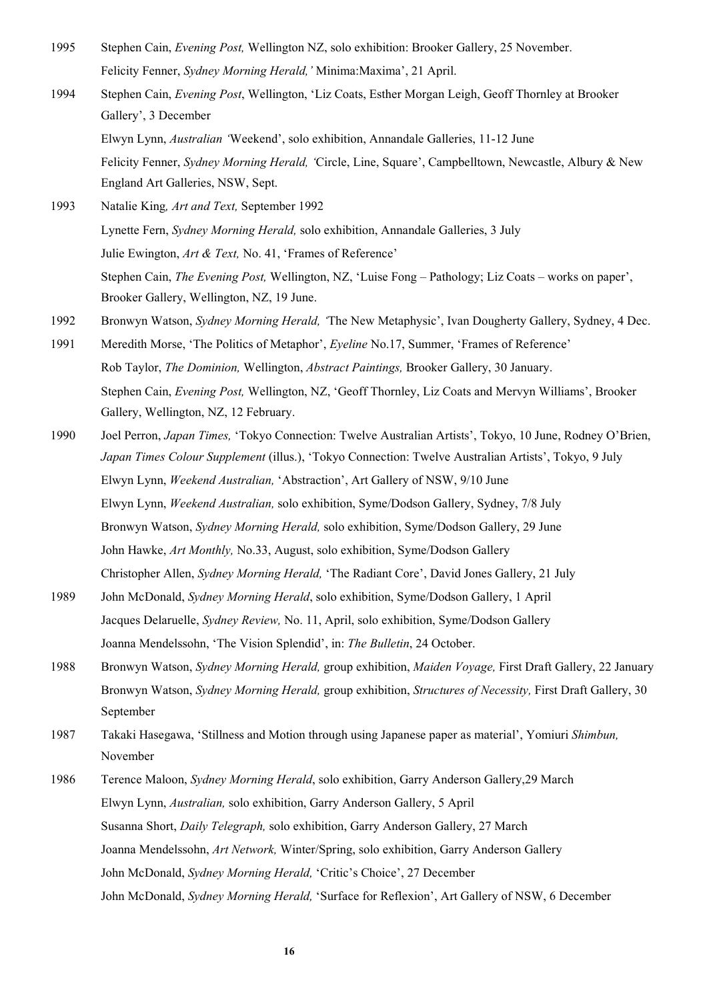- 1995 Stephen Cain, *Evening Post,* Wellington NZ, solo exhibition: Brooker Gallery, 25 November. Felicity Fenner, *Sydney Morning Herald,'* Minima:Maxima', 21 April.
- 1994 Stephen Cain, *Evening Post*, Wellington, 'Liz Coats, Esther Morgan Leigh, Geoff Thornley at Brooker Gallery', 3 December

Elwyn Lynn, *Australian '*Weekend', solo exhibition, Annandale Galleries, 11-12 June

Felicity Fenner, *Sydney Morning Herald, '*Circle, Line, Square', Campbelltown, Newcastle, Albury & New England Art Galleries, NSW, Sept.

- 1993 Natalie King*, Art and Text,* September 1992 Lynette Fern, *Sydney Morning Herald,* solo exhibition, Annandale Galleries, 3 July Julie Ewington, *Art & Text,* No. 41, 'Frames of Reference' Stephen Cain, *The Evening Post,* Wellington, NZ, 'Luise Fong – Pathology; Liz Coats – works on paper', Brooker Gallery, Wellington, NZ, 19 June.
- 1992 Bronwyn Watson, *Sydney Morning Herald, '*The New Metaphysic', Ivan Dougherty Gallery, Sydney, 4 Dec.
- 1991 Meredith Morse, 'The Politics of Metaphor', *Eyeline* No.17, Summer, 'Frames of Reference' Rob Taylor, *The Dominion,* Wellington, *Abstract Paintings,* Brooker Gallery, 30 January. Stephen Cain, *Evening Post,* Wellington, NZ, 'Geoff Thornley, Liz Coats and Mervyn Williams', Brooker Gallery, Wellington, NZ, 12 February.
- 1990 Joel Perron, *Japan Times,* 'Tokyo Connection: Twelve Australian Artists', Tokyo, 10 June, Rodney O'Brien, *Japan Times Colour Supplement* (illus.), 'Tokyo Connection: Twelve Australian Artists', Tokyo, 9 July Elwyn Lynn, *Weekend Australian,* 'Abstraction', Art Gallery of NSW, 9/10 June Elwyn Lynn, *Weekend Australian,* solo exhibition, Syme/Dodson Gallery, Sydney, 7/8 July Bronwyn Watson, *Sydney Morning Herald,* solo exhibition, Syme/Dodson Gallery, 29 June John Hawke, *Art Monthly,* No.33, August, solo exhibition, Syme/Dodson Gallery Christopher Allen, *Sydney Morning Herald,* 'The Radiant Core', David Jones Gallery, 21 July
- 1989 John McDonald, *Sydney Morning Herald*, solo exhibition, Syme/Dodson Gallery, 1 April Jacques Delaruelle, *Sydney Review,* No. 11, April, solo exhibition, Syme/Dodson Gallery Joanna Mendelssohn, 'The Vision Splendid', in: *The Bulletin*, 24 October.
- 1988 Bronwyn Watson, *Sydney Morning Herald,* group exhibition, *Maiden Voyage,* First Draft Gallery, 22 January Bronwyn Watson, *Sydney Morning Herald,* group exhibition, *Structures of Necessity,* First Draft Gallery, 30 September
- 1987 Takaki Hasegawa, 'Stillness and Motion through using Japanese paper as material', Yomiuri *Shimbun,* November
- 1986 Terence Maloon, *Sydney Morning Herald*, solo exhibition, Garry Anderson Gallery,29 March Elwyn Lynn, *Australian,* solo exhibition, Garry Anderson Gallery, 5 April Susanna Short, *Daily Telegraph,* solo exhibition, Garry Anderson Gallery, 27 March Joanna Mendelssohn, *Art Network,* Winter/Spring, solo exhibition, Garry Anderson Gallery John McDonald, *Sydney Morning Herald,* 'Critic's Choice', 27 December John McDonald, *Sydney Morning Herald,* 'Surface for Reflexion', Art Gallery of NSW, 6 December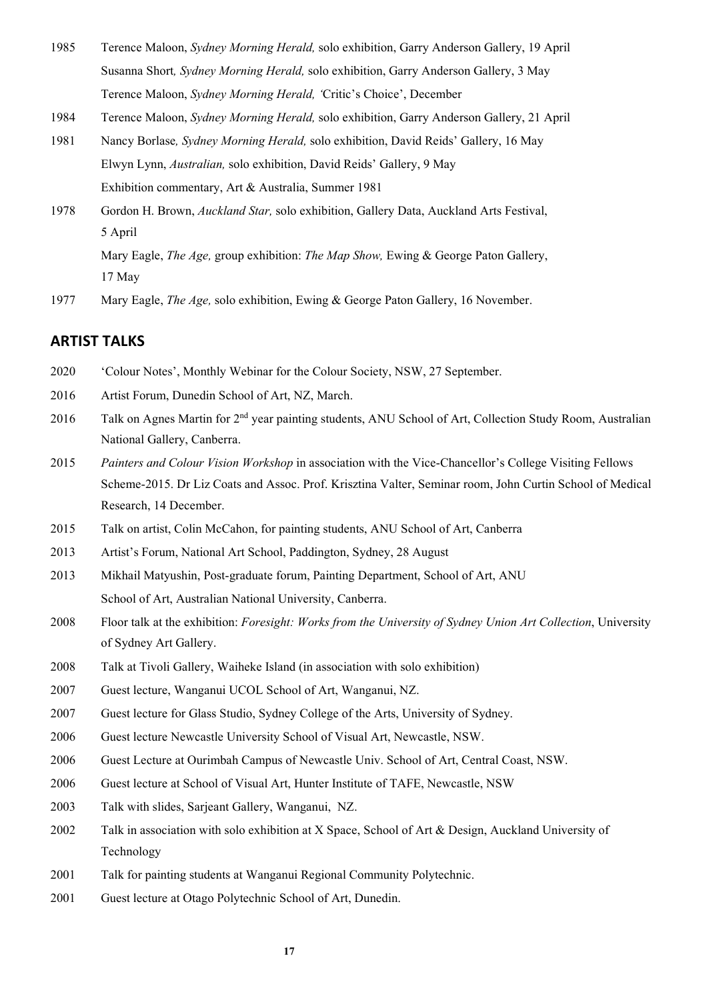- Terence Maloon, *Sydney Morning Herald,* solo exhibition, Garry Anderson Gallery, 19 April Susanna Short*, Sydney Morning Herald,* solo exhibition, Garry Anderson Gallery, 3 May Terence Maloon, *Sydney Morning Herald, '*Critic's Choice', December
- Terence Maloon, *Sydney Morning Herald,* solo exhibition, Garry Anderson Gallery, 21 April
- Nancy Borlase*, Sydney Morning Herald,* solo exhibition, David Reids' Gallery, 16 May Elwyn Lynn, *Australian,* solo exhibition, David Reids' Gallery, 9 May Exhibition commentary, Art & Australia, Summer 1981
- Gordon H. Brown, *Auckland Star,* solo exhibition, Gallery Data, Auckland Arts Festival, 5 April Mary Eagle, *The Age,* group exhibition: *The Map Show,* Ewing & George Paton Gallery,
	- 17 May
- Mary Eagle, *The Age,* solo exhibition, Ewing & George Paton Gallery, 16 November.

## **ARTIST TALKS**

- 'Colour Notes', Monthly Webinar for the Colour Society, NSW, 27 September.
- Artist Forum, Dunedin School of Art, NZ, March.
- 2016 Talk on Agnes Martin for 2<sup>nd</sup> year painting students, ANU School of Art, Collection Study Room, Australian National Gallery, Canberra.
- *Painters and Colour Vision Workshop* in association with the Vice-Chancellor's College Visiting Fellows Scheme-2015. Dr Liz Coats and Assoc. Prof. Krisztina Valter, Seminar room, John Curtin School of Medical Research, 14 December.
- Talk on artist, Colin McCahon, for painting students, ANU School of Art, Canberra
- Artist's Forum, National Art School, Paddington, Sydney, 28 August
- Mikhail Matyushin, Post-graduate forum, Painting Department, School of Art, ANU School of Art, Australian National University, Canberra.
- Floor talk at the exhibition: *Foresight: Works from the University of Sydney Union Art Collection*, University of Sydney Art Gallery.
- Talk at Tivoli Gallery, Waiheke Island (in association with solo exhibition)
- Guest lecture, Wanganui UCOL School of Art, Wanganui, NZ.
- Guest lecture for Glass Studio, Sydney College of the Arts, University of Sydney.
- Guest lecture Newcastle University School of Visual Art, Newcastle, NSW.
- Guest Lecture at Ourimbah Campus of Newcastle Univ. School of Art, Central Coast, NSW.
- Guest lecture at School of Visual Art, Hunter Institute of TAFE, Newcastle, NSW
- Talk with slides, Sarjeant Gallery, Wanganui, NZ.
- Talk in association with solo exhibition at X Space, School of Art & Design, Auckland University of Technology
- Talk for painting students at Wanganui Regional Community Polytechnic.
- Guest lecture at Otago Polytechnic School of Art, Dunedin.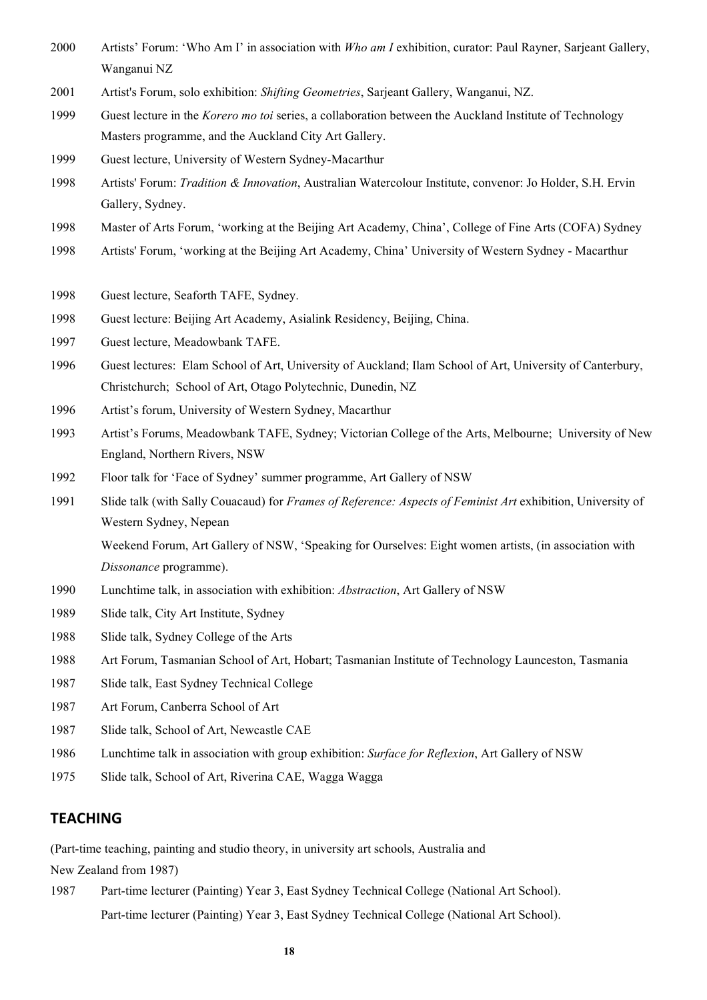- Artists' Forum: 'Who Am I' in association with *Who am I* exhibition, curator: Paul Rayner, Sarjeant Gallery, Wanganui NZ
- Artist's Forum, solo exhibition: *Shifting Geometries*, Sarjeant Gallery, Wanganui, NZ.
- Guest lecture in the *Korero mo toi* series, a collaboration between the Auckland Institute of Technology Masters programme, and the Auckland City Art Gallery.
- Guest lecture, University of Western Sydney-Macarthur
- Artists' Forum: *Tradition & Innovation*, Australian Watercolour Institute, convenor: Jo Holder, S.H. Ervin Gallery, Sydney.
- Master of Arts Forum, 'working at the Beijing Art Academy, China', College of Fine Arts (COFA) Sydney
- Artists' Forum, 'working at the Beijing Art Academy, China' University of Western Sydney Macarthur
- Guest lecture, Seaforth TAFE, Sydney.
- Guest lecture: Beijing Art Academy, Asialink Residency, Beijing, China.
- Guest lecture, Meadowbank TAFE.
- Guest lectures: Elam School of Art, University of Auckland; Ilam School of Art, University of Canterbury, Christchurch; School of Art, Otago Polytechnic, Dunedin, NZ
- Artist's forum, University of Western Sydney, Macarthur
- Artist's Forums, Meadowbank TAFE, Sydney; Victorian College of the Arts, Melbourne; University of New England, Northern Rivers, NSW
- Floor talk for 'Face of Sydney' summer programme, Art Gallery of NSW
- Slide talk (with Sally Couacaud) for *Frames of Reference: Aspects of Feminist Art* exhibition, University of Western Sydney, Nepean

Weekend Forum, Art Gallery of NSW, 'Speaking for Ourselves: Eight women artists, (in association with *Dissonance* programme).

- Lunchtime talk, in association with exhibition: *Abstraction*, Art Gallery of NSW
- Slide talk, City Art Institute, Sydney
- Slide talk, Sydney College of the Arts
- Art Forum, Tasmanian School of Art, Hobart; Tasmanian Institute of Technology Launceston, Tasmania
- Slide talk, East Sydney Technical College
- Art Forum, Canberra School of Art
- Slide talk, School of Art, Newcastle CAE
- Lunchtime talk in association with group exhibition: *Surface for Reflexion*, Art Gallery of NSW
- Slide talk, School of Art, Riverina CAE, Wagga Wagga

### **TEACHING**

(Part-time teaching, painting and studio theory, in university art schools, Australia and

New Zealand from 1987)

 Part-time lecturer (Painting) Year 3, East Sydney Technical College (National Art School). Part-time lecturer (Painting) Year 3, East Sydney Technical College (National Art School).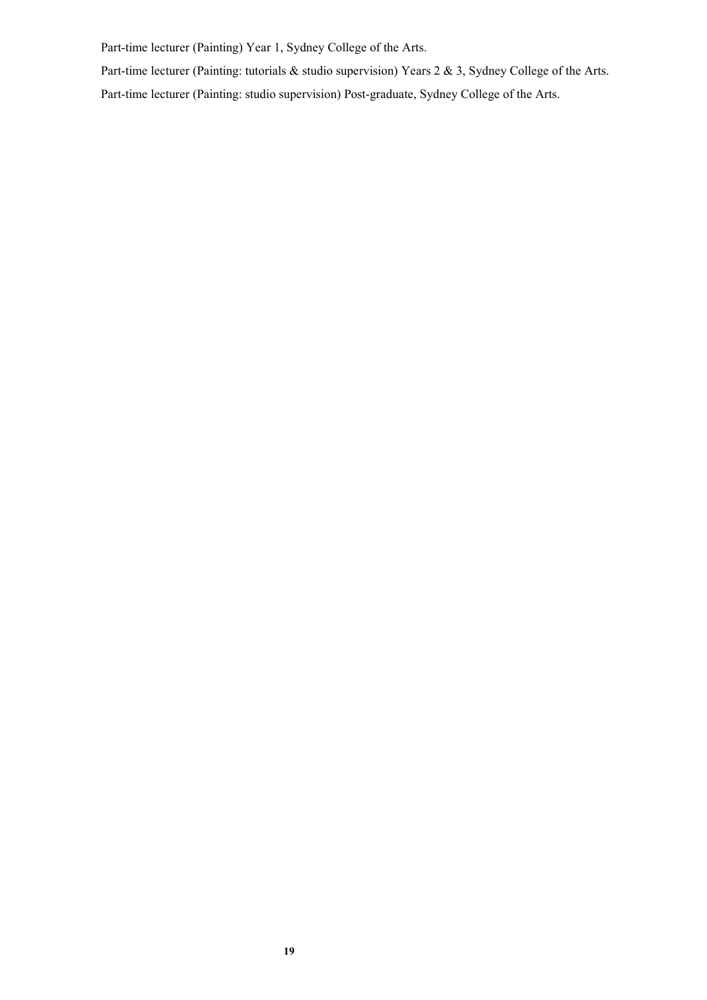Part-time lecturer (Painting) Year 1, Sydney College of the Arts.

Part-time lecturer (Painting: tutorials & studio supervision) Years 2 & 3, Sydney College of the Arts.

Part-time lecturer (Painting: studio supervision) Post-graduate, Sydney College of the Arts.